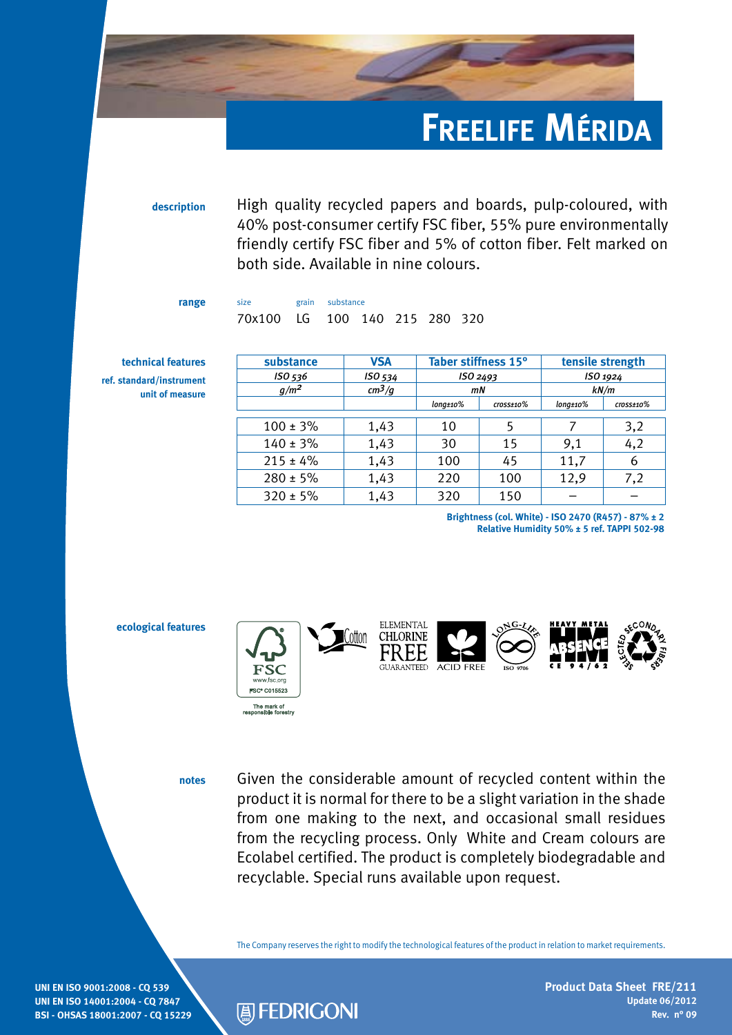## **Freelife Mérida**

**description** High quality recycled papers and boards, pulp-coloured, with 40% post-consumer certify FSC fiber, 55% pure environmentally friendly certify FSC fiber and 5% of cotton fiber. Felt marked on both side. Available in nine colours.

**range** size grain substance 70x100 LG 100 140 215 280 320

**technical features ref. standard/instrument unit of measure**

| substance     | <b>VSA</b> | Taber stiffness 15°          |                            | tensile strength              |                            |
|---------------|------------|------------------------------|----------------------------|-------------------------------|----------------------------|
| ISO 536       | ISO 534    | ISO 2493                     |                            | ISO 1924                      |                            |
| $g/m^2$       | $cm^3/g$   | mN                           |                            | kN/m                          |                            |
|               |            | $long \scriptstyle \pm 10\%$ | $\frac{cross \pm 10\%}{2}$ | $long \scriptstyle \pm 10 \%$ | $\frac{cross \pm 10\%}{2}$ |
| $100 \pm 3\%$ | 1,43       | 10                           | 5                          |                               | 3,2                        |
| $140 \pm 3\%$ | 1,43       | 30                           | 15                         | 9,1                           | 4,2                        |
| $215 \pm 4\%$ | 1,43       | 100                          | 45                         | 11,7                          | 6                          |
| $280 \pm 5\%$ | 1,43       | 220                          | 100                        | 12,9                          | 7,2                        |
| $320 \pm 5\%$ | 1,43       | 320                          | 150                        |                               |                            |

**Brightness (col. White) - ISO 2470 (R457) - 87% ± 2 Relative Humidity 50% ± 5 ref. TAPPI 502-98**



**notes**

**A** FEDRIGONI

Given the considerable amount of recycled content within the product it is normal for there to be a slight variation in the shade from one making to the next, and occasional small residues from the recycling process. Only White and Cream colours are Ecolabel certified. The product is completely biodegradable and recyclable. Special runs available upon request.

The Company reserves the right to modify the technological features of the product in relation to market requirements.

**UNI EN ISO 9001:2008 - CQ 539 UNI EN ISO 14001:2004 - CQ 7847 BSI - OHSAS 18001:2007 - CQ 15229** **Product Data Sheet FRE/211 Update 06/2012 Rev. n° 09**